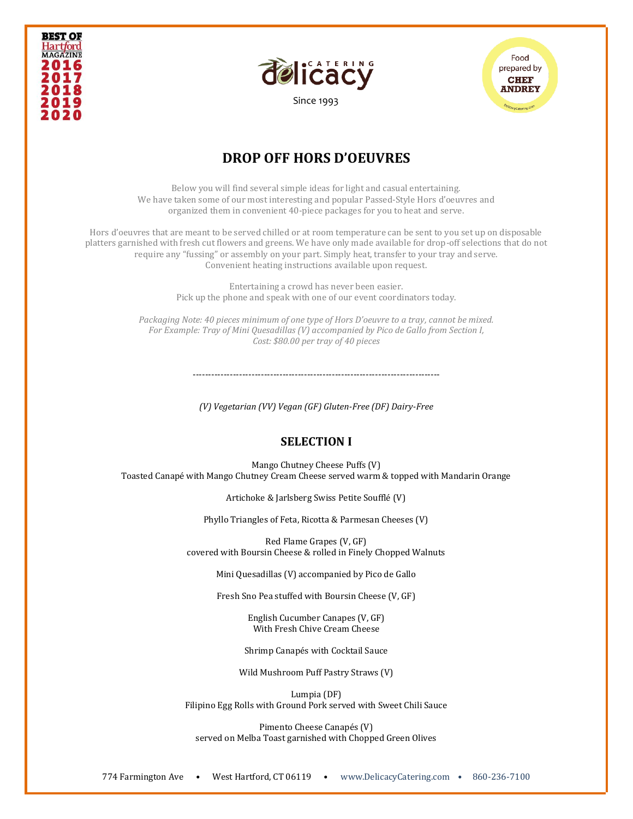





## **DROP OFF HORS D'OEUVRES**

Below you will find several simple ideas for light and casual entertaining. We have taken some of our most interesting and popular Passed-Style Hors d'oeuvres and organized them in convenient 40-piece packages for you to heat and serve.

Hors d'oeuvres that are meant to be served chilled or at room temperature can be sent to you set up on disposable platters garnished with fresh cut flowers and greens. We have only made available for drop-off selections that do not require any "fussing" or assembly on your part. Simply heat, transfer to your tray and serve. Convenient heating instructions available upon request.

> Entertaining a crowd has never been easier. Pick up the phone and speak with one of our event coordinators today.

*Packaging Note: 40 pieces minimum of one type of Hors D'oeuvre to a tray, cannot be mixed. For Example: Tray of Mini Quesadillas (V) accompanied by Pico de Gallo from Section I, Cost: \$80.00 per tray of 40 pieces*

 $-+++++$ 

*(V) Vegetarian (VV) Vegan (GF) Gluten-Free (DF) Dairy-Free*

#### **SELECTION I**

Mango Chutney Cheese Puffs (V) Toasted Canapé with Mango Chutney Cream Cheese served warm & topped with Mandarin Orange

Artichoke & Jarlsberg Swiss Petite Soufflé (V)

Phyllo Triangles of Feta, Ricotta & Parmesan Cheeses (V)

Red Flame Grapes (V, GF) covered with Boursin Cheese & rolled in Finely Chopped Walnuts

Mini Quesadillas (V) accompanied by Pico de Gallo

Fresh Sno Pea stuffed with Boursin Cheese (V, GF)

English Cucumber Canapes (V, GF) With Fresh Chive Cream Cheese

Shrimp Canapés with Cocktail Sauce

Wild Mushroom Puff Pastry Straws (V)

Lumpia (DF) Filipino Egg Rolls with Ground Pork served with Sweet Chili Sauce

Pimento Cheese Canapés (V) served on Melba Toast garnished with Chopped Green Olives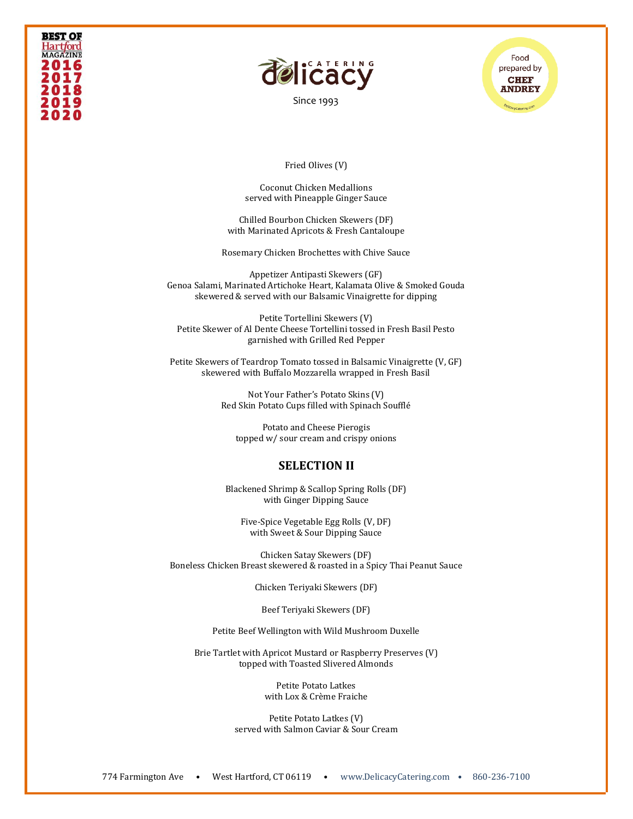



Food prepared by **CHEF ANDREY** 

#### Fried Olives (V)

Coconut Chicken Medallions served with Pineapple Ginger Sauce

Chilled Bourbon Chicken Skewers (DF) with Marinated Apricots & Fresh Cantaloupe

Rosemary Chicken Brochettes with Chive Sauce

Appetizer Antipasti Skewers (GF) Genoa Salami, Marinated Artichoke Heart, Kalamata Olive & Smoked Gouda skewered & served with our Balsamic Vinaigrette for dipping

Petite Tortellini Skewers (V) Petite Skewer of Al Dente Cheese Tortellini tossed in Fresh Basil Pesto garnished with Grilled Red Pepper

Petite Skewers of Teardrop Tomato tossed in Balsamic Vinaigrette (V, GF) skewered with Buffalo Mozzarella wrapped in Fresh Basil

> Not Your Father's Potato Skins (V) Red Skin Potato Cups filled with Spinach Soufflé

Potato and Cheese Pierogis topped w/ sour cream and crispy onions

#### **SELECTION II**

Blackened Shrimp & Scallop Spring Rolls (DF) with Ginger Dipping Sauce

Five-Spice Vegetable Egg Rolls (V, DF) with Sweet & Sour Dipping Sauce

Chicken Satay Skewers (DF) Boneless Chicken Breast skewered & roasted in a Spicy Thai Peanut Sauce

Chicken Teriyaki Skewers (DF)

Beef Teriyaki Skewers (DF)

Petite Beef Wellington with Wild Mushroom Duxelle

Brie Tartlet with Apricot Mustard or Raspberry Preserves (V) topped with Toasted Slivered Almonds

> Petite Potato Latkes with Lox & Crème Fraiche

Petite Potato Latkes (V) served with Salmon Caviar & Sour Cream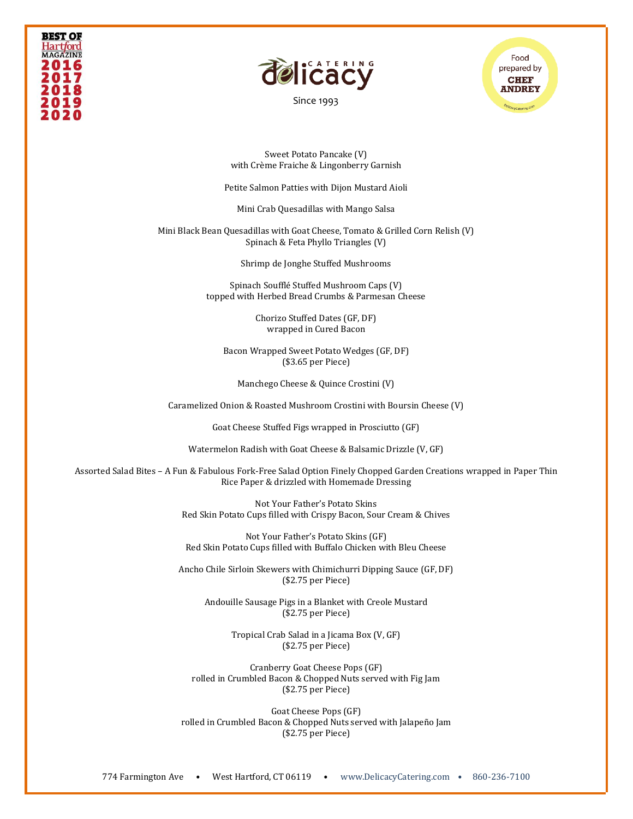



[Since 1993](file:///C:/Users/DelicacyCatering/Dropbox/DELCATERING/1%20Stationary/delicacycatering.com)



Sweet Potato Pancake (V) with Crème Fraiche & Lingonberry Garnish

Petite Salmon Patties with Dijon Mustard Aioli

Mini Crab Quesadillas with Mango Salsa

Mini Black Bean Quesadillas with Goat Cheese, Tomato & Grilled Corn Relish (V) Spinach & Feta Phyllo Triangles (V)

Shrimp de Jonghe Stuffed Mushrooms

Spinach Soufflé Stuffed Mushroom Caps (V) topped with Herbed Bread Crumbs & Parmesan Cheese

> Chorizo Stuffed Dates (GF, DF) wrapped in Cured Bacon

Bacon Wrapped Sweet Potato Wedges (GF, DF) (\$3.65 per Piece)

Manchego Cheese & Quince Crostini (V)

Caramelized Onion & Roasted Mushroom Crostini with Boursin Cheese (V)

Goat Cheese Stuffed Figs wrapped in Prosciutto (GF)

Watermelon Radish with Goat Cheese & Balsamic Drizzle (V, GF)

Assorted Salad Bites – A Fun & Fabulous Fork-Free Salad Option Finely Chopped Garden Creations wrapped in Paper Thin Rice Paper & drizzled with Homemade Dressing

> Not Your Father's Potato Skins Red Skin Potato Cups filled with Crispy Bacon, Sour Cream & Chives

Not Your Father's Potato Skins (GF) Red Skin Potato Cups filled with Buffalo Chicken with Bleu Cheese

Ancho Chile Sirloin Skewers with Chimichurri Dipping Sauce (GF, DF) (\$2.75 per Piece)

Andouille Sausage Pigs in a Blanket with Creole Mustard (\$2.75 per Piece)

> Tropical Crab Salad in a Jicama Box (V, GF) (\$2.75 per Piece)

Cranberry Goat Cheese Pops (GF) rolled in Crumbled Bacon & Chopped Nuts served with Fig Jam (\$2.75 per Piece)

Goat Cheese Pops (GF) rolled in Crumbled Bacon & Chopped Nuts served with Jalapeño Jam (\$2.75 per Piece)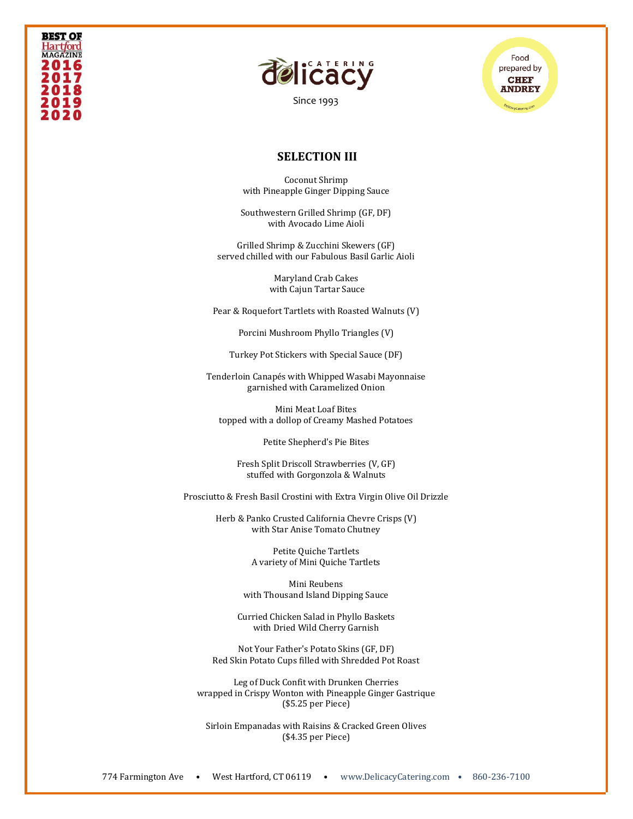





### **SELECTION III**

Coconut Shrimp with Pineapple Ginger Dipping Sauce

Southwestern Grilled Shrimp (GF, DF) with Avocado Lime Aioli

Grilled Shrimp & Zucchini Skewers (GF) served chilled with our Fabulous Basil Garlic Aioli

> Maryland Crab Cakes with Cajun Tartar Sauce

Pear & Roquefort Tartlets with Roasted Walnuts (V)

Porcini Mushroom Phyllo Triangles (V)

Turkey Pot Stickers with Special Sauce (DF)

Tenderloin Canapés with Whipped Wasabi Mayonnaise garnished with Caramelized Onion

Mini Meat Loaf Bites topped with a dollop of Creamy Mashed Potatoes

Petite Shepherd's Pie Bites

Fresh Split Driscoll Strawberries (V, GF) stuffed with Gorgonzola & Walnuts

Prosciutto & Fresh Basil Crostini with Extra Virgin Olive Oil Drizzle

Herb & Panko Crusted California Chevre Crisps (V) with Star Anise Tomato Chutney

> Petite Quiche Tartlets A variety of Mini Quiche Tartlets

Mini Reubens with Thousand Island Dipping Sauce

Curried Chicken Salad in Phyllo Baskets with Dried Wild Cherry Garnish

Not Your Father's Potato Skins (GF, DF) Red Skin Potato Cups filled with Shredded Pot Roast

Leg of Duck Confit with Drunken Cherries wrapped in Crispy Wonton with Pineapple Ginger Gastrique (\$5.25 per Piece)

Sirloin Empanadas with Raisins & Cracked Green Olives (\$4.35 per Piece)